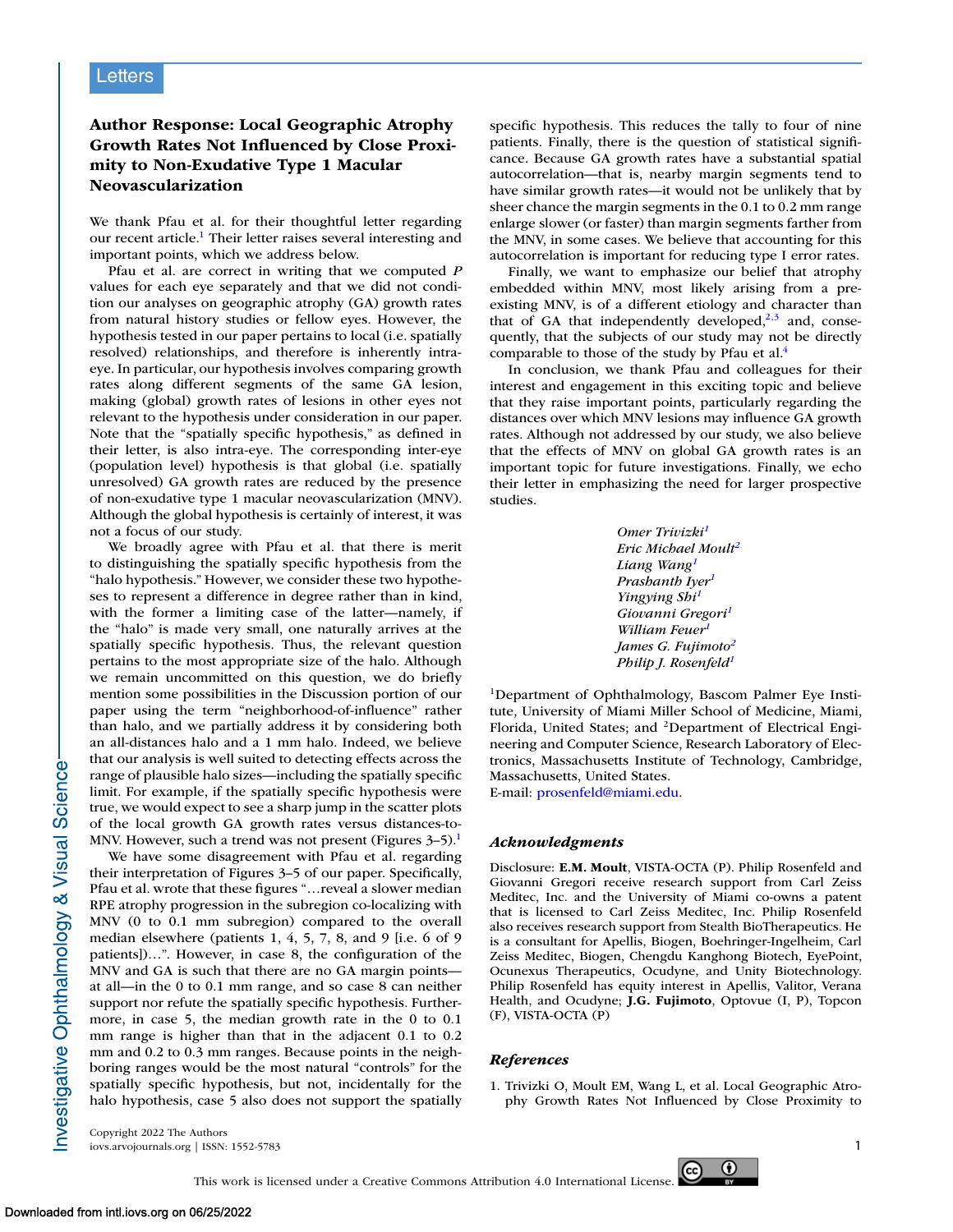## **Letters**

## **Author Response: Local Geographic Atrophy Growth Rates Not Influenced by Close Proximity to Non-Exudative Type 1 Macular Neovascularization**

We thank Pfau et al. for their thoughtful letter regarding our recent article.1 Their letter raises several interesting and important points, which we address below.

Pfau et al. are correct in writing that we computed *P* values for each eye separately and that we did not condition our analyses on geographic atrophy (GA) growth rates from natural history studies or fellow eyes. However, the hypothesis tested in our paper pertains to local (i.e. spatially resolved) relationships, and therefore is inherently intraeye. In particular, our hypothesis involves comparing growth rates along different segments of the same GA lesion, making (global) growth rates of lesions in other eyes not relevant to the hypothesis under consideration in our paper. Note that the "spatially specific hypothesis," as defined in their letter, is also intra-eye. The corresponding inter-eye (population level) hypothesis is that global (i.e. spatially unresolved) GA growth rates are reduced by the presence of non-exudative type 1 macular neovascularization (MNV). Although the global hypothesis is certainly of interest, it was not a focus of our study.

We broadly agree with Pfau et al. that there is merit to distinguishing the spatially specific hypothesis from the "halo hypothesis." However, we consider these two hypotheses to represent a difference in degree rather than in kind, with the former a limiting case of the latter—namely, if the "halo" is made very small, one naturally arrives at the spatially specific hypothesis. Thus, the relevant question pertains to the most appropriate size of the halo. Although we remain uncommitted on this question, we do briefly mention some possibilities in the Discussion portion of our paper using the term "neighborhood-of-influence" rather than halo, and we partially address it by considering both an all-distances halo and a 1 mm halo. Indeed, we believe that our analysis is well suited to detecting effects across the range of plausible halo sizes—including the spatially specific limit. For example, if the spatially specific hypothesis were true, we would expect to see a sharp jump in the scatter plots of the local growth GA growth rates versus distances-to-MNV. However, such a trend was not present (Figures  $3-5$ ).<sup>1</sup>

We have some disagreement with Pfau et al. regarding their interpretation of Figures 3–5 of our paper. Specifically, Pfau et al. wrote that these figures "…reveal a slower median RPE atrophy progression in the subregion co-localizing with MNV (0 to 0.1 mm subregion) compared to the overall median elsewhere (patients 1, 4, 5, 7, 8, and 9 [i.e. 6 of 9 patients])…". However, in case 8, the configuration of the MNV and GA is such that there are no GA margin points at all—in the 0 to 0.1 mm range, and so case 8 can neither support nor refute the spatially specific hypothesis. Furthermore, in case 5, the median growth rate in the 0 to 0.1 mm range is higher than that in the adjacent 0.1 to 0.2 mm and 0.2 to 0.3 mm ranges. Because points in the neighboring ranges would be the most natural "controls" for the spatially specific hypothesis, but not, incidentally for the halo hypothesis, case 5 also does not support the spatially specific hypothesis. This reduces the tally to four of nine patients. Finally, there is the question of statistical significance. Because GA growth rates have a substantial spatial autocorrelation—that is, nearby margin segments tend to have similar growth rates—it would not be unlikely that by sheer chance the margin segments in the 0.1 to 0.2 mm range enlarge slower (or faster) than margin segments farther from the MNV, in some cases. We believe that accounting for this autocorrelation is important for reducing type I error rates.

Finally, we want to emphasize our belief that atrophy embedded within MNV, most likely arising from a preexisting MNV, is of a different etiology and character than that of GA that independently developed, $2,3$  and, consequently, that the subjects of our study may not be directly comparable to those of the study by Pfau et al.<sup>4</sup>

In conclusion, we thank Pfau and colleagues for their interest and engagement in this exciting topic and believe that they raise important points, particularly regarding the distances over which MNV lesions may influence GA growth rates. Although not addressed by our study, we also believe that the effects of MNV on global GA growth rates is an important topic for future investigations. Finally, we echo their letter in emphasizing the need for larger prospective studies.

| Omer Trivizki <sup>1</sup>       |
|----------------------------------|
| Eric Michael Moult <sup>2</sup>  |
| Liang Wang <sup>1</sup>          |
| Prashanth Iyer <sup>1</sup>      |
| Yingying Shi <sup>1</sup>        |
| Giovanni Gregori <sup>1</sup>    |
| William Feuer <sup>1</sup>       |
| James G. Fujimoto <sup>2</sup>   |
| Philip J. Rosenfeld <sup>1</sup> |

1Department of Ophthalmology, Bascom Palmer Eye Institute, University of Miami Miller School of Medicine, Miami, Florida, United States; and <sup>2</sup>Department of Electrical Engineering and Computer Science, Research Laboratory of Electronics, Massachusetts Institute of Technology, Cambridge, Massachusetts, United States.

E-mail: [prosenfeld@miami.edu.](mailto:prosenfeld@miami.edu)

## *Acknowledgments*

Disclosure: **E.M. Moult**, VISTA-OCTA (P). Philip Rosenfeld and Giovanni Gregori receive research support from Carl Zeiss Meditec, Inc. and the University of Miami co-owns a patent that is licensed to Carl Zeiss Meditec, Inc. Philip Rosenfeld also receives research support from Stealth BioTherapeutics. He is a consultant for Apellis, Biogen, Boehringer-Ingelheim, Carl Zeiss Meditec, Biogen, Chengdu Kanghong Biotech, EyePoint, Ocunexus Therapeutics, Ocudyne, and Unity Biotechnology. Philip Rosenfeld has equity interest in Apellis, Valitor, Verana Health, and Ocudyne; **J.G. Fujimoto**, Optovue (I, P), Topcon (F), VISTA-OCTA (P)

## *References*

1. Trivizki O, Moult EM, Wang L, et al. Local Geographic Atrophy Growth Rates Not Influenced by Close Proximity to

Copyright 2022 The Authors iovs.arvojournals.org | ISSN: 1552-5783 1